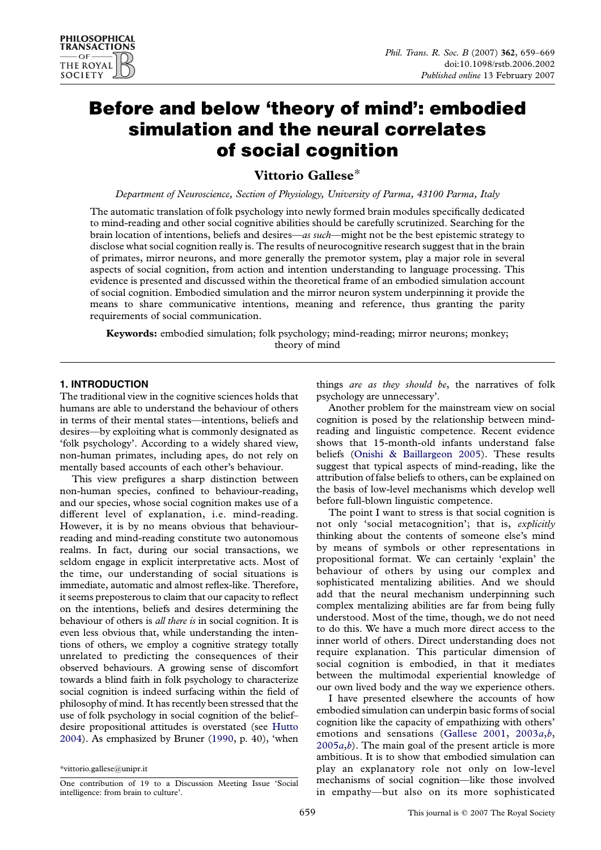

# Before and below 'theory of mind': embodied simulation and the neural correlates of social cognition

# Vittorio Gallese\*

Department of Neuroscience, Section of Physiology, University of Parma, 43100 Parma, Italy

The automatic translation of folk psychology into newly formed brain modules specifically dedicated to mind-reading and other social cognitive abilities should be carefully scrutinized. Searching for the brain location of intentions, beliefs and desires—as such—might not be the best epistemic strategy to disclose what social cognition really is. The results of neurocognitive research suggest that in the brain of primates, mirror neurons, and more generally the premotor system, play a major role in several aspects of social cognition, from action and intention understanding to language processing. This evidence is presented and discussed within the theoretical frame of an embodied simulation account of social cognition. Embodied simulation and the mirror neuron system underpinning it provide the means to share communicative intentions, meaning and reference, thus granting the parity requirements of social communication.

Keywords: embodied simulation; folk psychology; mind-reading; mirror neurons; monkey; theory of mind

# 1. INTRODUCTION

The traditional view in the cognitive sciences holds that humans are able to understand the behaviour of others in terms of their mental states—intentions, beliefs and desires—by exploiting what is commonly designated as 'folk psychology'. According to a widely shared view, non-human primates, including apes, do not rely on mentally based accounts of each other's behaviour.

This view prefigures a sharp distinction between non-human species, confined to behaviour-reading, and our species, whose social cognition makes use of a different level of explanation, i.e. mind-reading. However, it is by no means obvious that behaviourreading and mind-reading constitute two autonomous realms. In fact, during our social transactions, we seldom engage in explicit interpretative acts. Most of the time, our understanding of social situations is immediate, automatic and almost reflex-like. Therefore, it seems preposterous to claim that our capacity to reflect on the intentions, beliefs and desires determining the behaviour of others is *all there is* in social cognition. It is even less obvious that, while understanding the intentions of others, we employ a cognitive strategy totally unrelated to predicting the consequences of their observed behaviours. A growing sense of discomfort towards a blind faith in folk psychology to characterize social cognition is indeed surfacing within the field of philosophy of mind. It has recently been stressed that the use of folk psychology in social cognition of the belief– desire propositional attitudes is overstated (see [Hutto](#page-9-0) [2004\)](#page-9-0). As emphasized by Bruner [\(1990](#page-8-0), p. 40), 'when

things are as they should be, the narratives of folk psychology are unnecessary'.

Another problem for the mainstream view on social cognition is posed by the relationship between mindreading and linguistic competence. Recent evidence shows that 15-month-old infants understand false beliefs ([Onishi & Baillargeon 2005](#page-10-0)). These results suggest that typical aspects of mind-reading, like the attribution of false beliefs to others, can be explained on the basis of low-level mechanisms which develop well before full-blown linguistic competence.

The point I want to stress is that social cognition is not only 'social metacognition'; that is, explicitly thinking about the contents of someone else's mind by means of symbols or other representations in propositional format. We can certainly 'explain' the behaviour of others by using our complex and sophisticated mentalizing abilities. And we should add that the neural mechanism underpinning such complex mentalizing abilities are far from being fully understood. Most of the time, though, we do not need to do this. We have a much more direct access to the inner world of others. Direct understanding does not require explanation. This particular dimension of social cognition is embodied, in that it mediates between the multimodal experiential knowledge of our own lived body and the way we experience others.

I have presented elsewhere the accounts of how embodied simulation can underpin basic forms of social cognition like the capacity of empathizing with others' emotions and sensations [\(Gallese 2001](#page-9-0), [2003](#page-9-0)a,[b](#page-9-0),  $2005a,b$  $2005a,b$  $2005a,b$ ). The main goal of the present article is more ambitious. It is to show that embodied simulation can play an explanatory role not only on low-level mechanisms of social cognition—like those involved in empathy—but also on its more sophisticated

<sup>\*</sup>vittorio.gallese@unipr.it

One contribution of 19 to a Discussion Meeting Issue 'Social intelligence: from brain to culture'.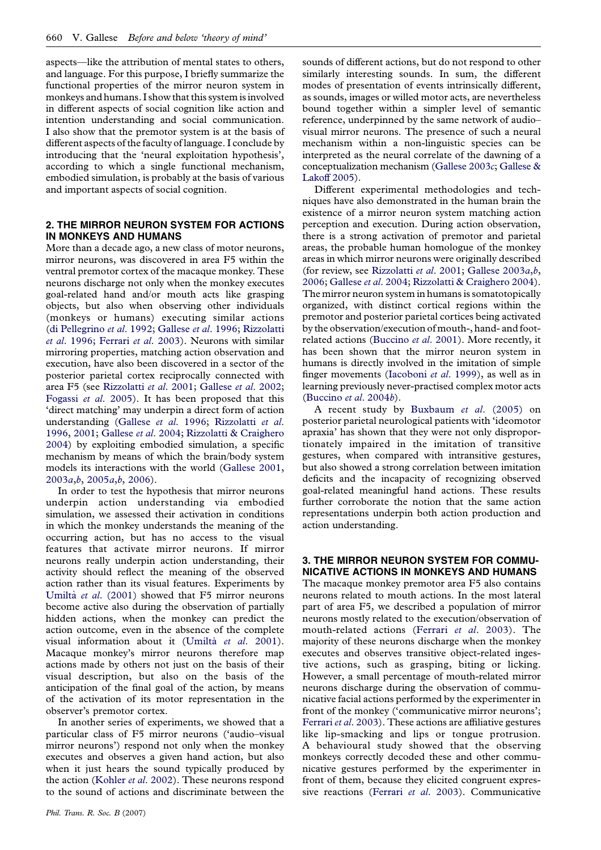aspects—like the attribution of mental states to others, and language. For this purpose, I briefly summarize the functional properties of the mirror neuron system in monkeys and humans. I show that this system is involved in different aspects of social cognition like action and intention understanding and social communication. I also show that the premotor system is at the basis of different aspects of the faculty of language. I conclude by introducing that the 'neural exploitation hypothesis', according to which a single functional mechanism, embodied simulation, is probably at the basis of various and important aspects of social cognition.

### 2. THE MIRROR NEURON SYSTEM FOR ACTIONS IN MONKEYS AND HUMANS

More than a decade ago, a new class of motor neurons, mirror neurons, was discovered in area F5 within the ventral premotor cortex of the macaque monkey. These neurons discharge not only when the monkey executes goal-related hand and/or mouth acts like grasping objects, but also when observing other individuals (monkeys or humans) executing similar actions [\(di Pellegrino](#page-9-0) et al. 1992; [Gallese](#page-9-0) et al. 1996; [Rizzolatti](#page-10-0) et al[. 1996;](#page-10-0) [Ferrari](#page-9-0) et al. 2003). Neurons with similar mirroring properties, matching action observation and execution, have also been discovered in a sector of the posterior parietal cortex reciprocally connected with area F5 (see [Rizzolatti](#page-10-0) et al. 2001; [Gallese](#page-9-0) et al. 2002; [Fogassi](#page-9-0) et al. 2005). It has been proposed that this 'direct matching' may underpin a direct form of action understanding [\(Gallese](#page-9-0) et al. 1996; [Rizzolatti](#page-10-0) et al. [1996](#page-10-0), [2001;](#page-10-0) [Gallese](#page-9-0) et al. 2004; [Rizzolatti & Craighero](#page-10-0) [2004](#page-10-0)) by exploiting embodied simulation, a specific mechanism by means of which the brain/body system models its interactions with the world ([Gallese 2001,](#page-9-0) [2003](#page-9-0)a,[b](#page-9-0), [2005](#page-9-0)a,[b](#page-9-0), [2006\)](#page-9-0).

In order to test the hypothesis that mirror neurons underpin action understanding via embodied simulation, we assessed their activation in conditions in which the monkey understands the meaning of the occurring action, but has no access to the visual features that activate mirror neurons. If mirror neurons really underpin action understanding, their activity should reflect the meaning of the observed action rather than its visual features. Experiments by Umiltà et al[. \(2001\)](#page-10-0) showed that F5 mirror neurons become active also during the observation of partially hidden actions, when the monkey can predict the action outcome, even in the absence of the complete visual information about it (Umiltà et al[. 2001\)](#page-10-0). Macaque monkey's mirror neurons therefore map actions made by others not just on the basis of their visual description, but also on the basis of the anticipation of the final goal of the action, by means of the activation of its motor representation in the observer's premotor cortex.

In another series of experiments, we showed that a particular class of F5 mirror neurons ('audio–visual mirror neurons') respond not only when the monkey executes and observes a given hand action, but also when it just hears the sound typically produced by the action [\(Kohler](#page-10-0) et al. 2002). These neurons respond to the sound of actions and discriminate between the

sounds of different actions, but do not respond to other similarly interesting sounds. In sum, the different modes of presentation of events intrinsically different, as sounds, images or willed motor acts, are nevertheless bound together within a simpler level of semantic reference, underpinned by the same network of audio– visual mirror neurons. The presence of such a neural mechanism within a non-linguistic species can be interpreted as the neural correlate of the dawning of a conceptualization mechanism ([Gallese 2003](#page-9-0)c; [Gallese &](#page-9-0) [Lakoff 2005\)](#page-9-0).

Different experimental methodologies and techniques have also demonstrated in the human brain the existence of a mirror neuron system matching action perception and execution. During action observation, there is a strong activation of premotor and parietal areas, the probable human homologue of the monkey areas in which mirror neurons were originally described (for review, see [Rizzolatti](#page-10-0) et al. 2001; [Gallese 2003](#page-9-0)a,[b](#page-9-0), [2006](#page-9-0); [Gallese](#page-9-0) et al. 2004; [Rizzolatti & Craighero 2004\)](#page-10-0). The mirror neuron system in humans is somatotopically organized, with distinct cortical regions within the premotor and posterior parietal cortices being activated by the observation/execution of mouth-, hand- and footrelated actions [\(Buccino](#page-8-0) et al. 2001). More recently, it has been shown that the mirror neuron system in humans is directly involved in the imitation of simple finger movements ([Iacoboni](#page-10-0) et al. 1999), as well as in learning previously never-practised complex motor acts [\(Buccino](#page-8-0) et al. 2004b).

A recent study by [Buxbaum](#page-8-0) et al. (2005) on posterior parietal neurological patients with 'ideomotor apraxia' has shown that they were not only disproportionately impaired in the imitation of transitive gestures, when compared with intransitive gestures, but also showed a strong correlation between imitation deficits and the incapacity of recognizing observed goal-related meaningful hand actions. These results further corroborate the notion that the same action representations underpin both action production and action understanding.

# 3. THE MIRROR NEURON SYSTEM FOR COMMU-NICATIVE ACTIONS IN MONKEYS AND HUMANS

The macaque monkey premotor area F5 also contains neurons related to mouth actions. In the most lateral part of area F5, we described a population of mirror neurons mostly related to the execution/observation of mouth-related actions (Ferrari et al[. 2003\)](#page-9-0). The majority of these neurons discharge when the monkey executes and observes transitive object-related ingestive actions, such as grasping, biting or licking. However, a small percentage of mouth-related mirror neurons discharge during the observation of communicative facial actions performed by the experimenter in front of the monkey ('communicative mirror neurons'; [Ferrari](#page-9-0) et al. 2003). These actions are affiliative gestures like lip-smacking and lips or tongue protrusion. A behavioural study showed that the observing monkeys correctly decoded these and other communicative gestures performed by the experimenter in front of them, because they elicited congruent expres-sive reactions (Ferrari et al[. 2003\)](#page-9-0). Communicative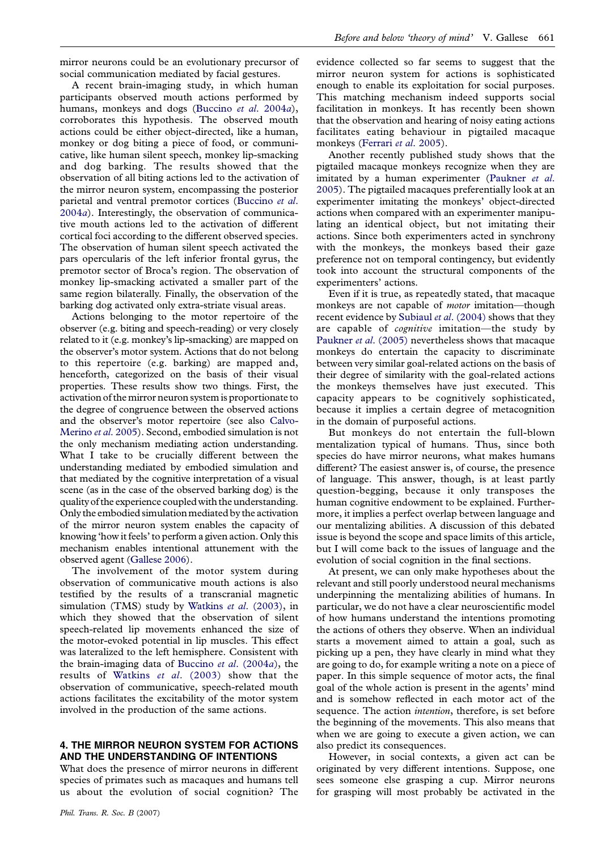mirror neurons could be an evolutionary precursor of social communication mediated by facial gestures.

A recent brain-imaging study, in which human participants observed mouth actions performed by humans, monkeys and dogs [\(Buccino](#page-8-0) et al. 2004a), corroborates this hypothesis. The observed mouth actions could be either object-directed, like a human, monkey or dog biting a piece of food, or communicative, like human silent speech, monkey lip-smacking and dog barking. The results showed that the observation of all biting actions led to the activation of the mirror neuron system, encompassing the posterior parietal and ventral premotor cortices ([Buccino](#page-8-0) et al. [2004](#page-8-0)a). Interestingly, the observation of communicative mouth actions led to the activation of different cortical foci according to the different observed species. The observation of human silent speech activated the pars opercularis of the left inferior frontal gyrus, the premotor sector of Broca's region. The observation of monkey lip-smacking activated a smaller part of the same region bilaterally. Finally, the observation of the barking dog activated only extra-striate visual areas.

Actions belonging to the motor repertoire of the observer (e.g. biting and speech-reading) or very closely related to it (e.g. monkey's lip-smacking) are mapped on the observer's motor system. Actions that do not belong to this repertoire (e.g. barking) are mapped and, henceforth, categorized on the basis of their visual properties. These results show two things. First, the activation of the mirror neuron system is proportionate to the degree of congruence between the observed actions and the observer's motor repertoire (see also [Calvo-](#page-8-0)[Merino](#page-8-0) et al. 2005). Second, embodied simulation is not the only mechanism mediating action understanding. What I take to be crucially different between the understanding mediated by embodied simulation and that mediated by the cognitive interpretation of a visual scene (as in the case of the observed barking dog) is the quality of the experience coupled with the understanding. Only the embodied simulation mediated by the activation of the mirror neuron system enables the capacity of knowing 'how it feels'to perform a given action. Only this mechanism enables intentional attunement with the observed agent [\(Gallese 2006](#page-9-0)).

The involvement of the motor system during observation of communicative mouth actions is also testified by the results of a transcranial magnetic simulation (TMS) study by Watkins et al[. \(2003\)](#page-10-0), in which they showed that the observation of silent speech-related lip movements enhanced the size of the motor-evoked potential in lip muscles. This effect was lateralized to the left hemisphere. Consistent with the brain-imaging data of [Buccino](#page-8-0) *et al.* (2004*a*), the results of Watkins et al[. \(2003\)](#page-10-0) show that the observation of communicative, speech-related mouth actions facilitates the excitability of the motor system involved in the production of the same actions.

# 4. THE MIRROR NEURON SYSTEM FOR ACTIONS AND THE UNDERSTANDING OF INTENTIONS

What does the presence of mirror neurons in different species of primates such as macaques and humans tell us about the evolution of social cognition? The evidence collected so far seems to suggest that the mirror neuron system for actions is sophisticated enough to enable its exploitation for social purposes. This matching mechanism indeed supports social facilitation in monkeys. It has recently been shown that the observation and hearing of noisy eating actions facilitates eating behaviour in pigtailed macaque monkeys [\(Ferrari](#page-9-0) et al. 2005).

Another recently published study shows that the pigtailed macaque monkeys recognize when they are imitated by a human experimenter ([Paukner](#page-10-0) et al. [2005](#page-10-0)). The pigtailed macaques preferentially look at an experimenter imitating the monkeys' object-directed actions when compared with an experimenter manipulating an identical object, but not imitating their actions. Since both experimenters acted in synchrony with the monkeys, the monkeys based their gaze preference not on temporal contingency, but evidently took into account the structural components of the experimenters' actions.

Even if it is true, as repeatedly stated, that macaque monkeys are not capable of *motor* imitation—though recent evidence by Subiaul et al[. \(2004\)](#page-10-0) shows that they are capable of *cognitive* imitation—the study by [Paukner](#page-10-0) et al. (2005) nevertheless shows that macaque monkeys do entertain the capacity to discriminate between very similar goal-related actions on the basis of their degree of similarity with the goal-related actions the monkeys themselves have just executed. This capacity appears to be cognitively sophisticated, because it implies a certain degree of metacognition in the domain of purposeful actions.

But monkeys do not entertain the full-blown mentalization typical of humans. Thus, since both species do have mirror neurons, what makes humans different? The easiest answer is, of course, the presence of language. This answer, though, is at least partly question-begging, because it only transposes the human cognitive endowment to be explained. Furthermore, it implies a perfect overlap between language and our mentalizing abilities. A discussion of this debated issue is beyond the scope and space limits of this article, but I will come back to the issues of language and the evolution of social cognition in the final sections.

At present, we can only make hypotheses about the relevant and still poorly understood neural mechanisms underpinning the mentalizing abilities of humans. In particular, we do not have a clear neuroscientific model of how humans understand the intentions promoting the actions of others they observe. When an individual starts a movement aimed to attain a goal, such as picking up a pen, they have clearly in mind what they are going to do, for example writing a note on a piece of paper. In this simple sequence of motor acts, the final goal of the whole action is present in the agents' mind and is somehow reflected in each motor act of the sequence. The action *intention*, therefore, is set before the beginning of the movements. This also means that when we are going to execute a given action, we can also predict its consequences.

However, in social contexts, a given act can be originated by very different intentions. Suppose, one sees someone else grasping a cup. Mirror neurons for grasping will most probably be activated in the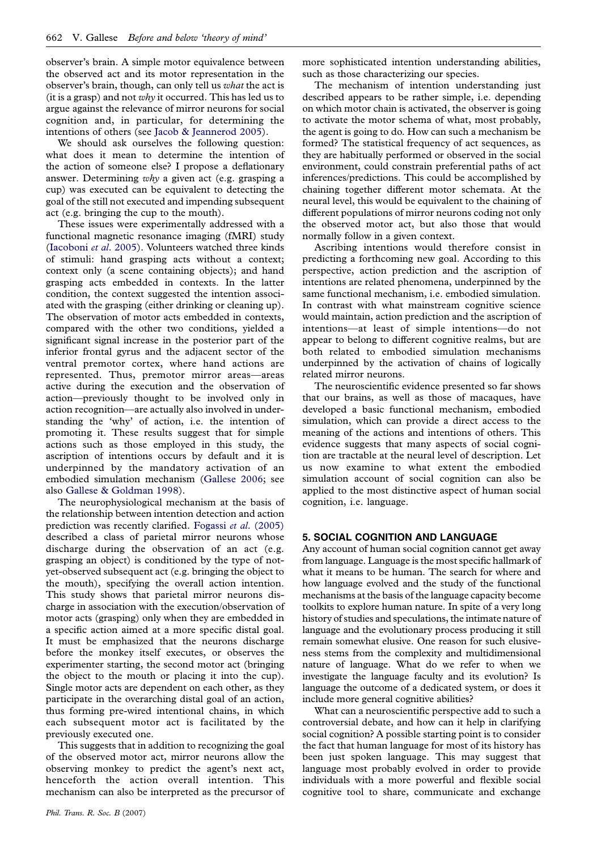observer's brain. A simple motor equivalence between the observed act and its motor representation in the observer's brain, though, can only tell us what the act is (it is a grasp) and not  $why$  it occurred. This has led us to argue against the relevance of mirror neurons for social cognition and, in particular, for determining the intentions of others (see [Jacob & Jeannerod 2005](#page-10-0)).

We should ask ourselves the following question: what does it mean to determine the intention of the action of someone else? I propose a deflationary answer. Determining why a given act (e.g. grasping a cup) was executed can be equivalent to detecting the goal of the still not executed and impending subsequent act (e.g. bringing the cup to the mouth).

These issues were experimentally addressed with a functional magnetic resonance imaging (fMRI) study [\(Iacoboni](#page-10-0) et al. 2005). Volunteers watched three kinds of stimuli: hand grasping acts without a context; context only (a scene containing objects); and hand grasping acts embedded in contexts. In the latter condition, the context suggested the intention associated with the grasping (either drinking or cleaning up). The observation of motor acts embedded in contexts, compared with the other two conditions, yielded a significant signal increase in the posterior part of the inferior frontal gyrus and the adjacent sector of the ventral premotor cortex, where hand actions are represented. Thus, premotor mirror areas—areas active during the execution and the observation of action—previously thought to be involved only in action recognition—are actually also involved in understanding the 'why' of action, i.e. the intention of promoting it. These results suggest that for simple actions such as those employed in this study, the ascription of intentions occurs by default and it is underpinned by the mandatory activation of an embodied simulation mechanism ([Gallese 2006](#page-9-0); see also [Gallese & Goldman 1998\)](#page-9-0).

The neurophysiological mechanism at the basis of the relationship between intention detection and action prediction was recently clarified. Fogassi et al[. \(2005\)](#page-9-0) described a class of parietal mirror neurons whose discharge during the observation of an act (e.g. grasping an object) is conditioned by the type of notyet-observed subsequent act (e.g. bringing the object to the mouth), specifying the overall action intention. This study shows that parietal mirror neurons discharge in association with the execution/observation of motor acts (grasping) only when they are embedded in a specific action aimed at a more specific distal goal. It must be emphasized that the neurons discharge before the monkey itself executes, or observes the experimenter starting, the second motor act (bringing the object to the mouth or placing it into the cup). Single motor acts are dependent on each other, as they participate in the overarching distal goal of an action, thus forming pre-wired intentional chains, in which each subsequent motor act is facilitated by the previously executed one.

This suggests that in addition to recognizing the goal of the observed motor act, mirror neurons allow the observing monkey to predict the agent's next act, henceforth the action overall intention. This mechanism can also be interpreted as the precursor of more sophisticated intention understanding abilities, such as those characterizing our species.

The mechanism of intention understanding just described appears to be rather simple, i.e. depending on which motor chain is activated, the observer is going to activate the motor schema of what, most probably, the agent is going to do. How can such a mechanism be formed? The statistical frequency of act sequences, as they are habitually performed or observed in the social environment, could constrain preferential paths of act inferences/predictions. This could be accomplished by chaining together different motor schemata. At the neural level, this would be equivalent to the chaining of different populations of mirror neurons coding not only the observed motor act, but also those that would normally follow in a given context.

Ascribing intentions would therefore consist in predicting a forthcoming new goal. According to this perspective, action prediction and the ascription of intentions are related phenomena, underpinned by the same functional mechanism, i.e. embodied simulation. In contrast with what mainstream cognitive science would maintain, action prediction and the ascription of intentions—at least of simple intentions—do not appear to belong to different cognitive realms, but are both related to embodied simulation mechanisms underpinned by the activation of chains of logically related mirror neurons.

The neuroscientific evidence presented so far shows that our brains, as well as those of macaques, have developed a basic functional mechanism, embodied simulation, which can provide a direct access to the meaning of the actions and intentions of others. This evidence suggests that many aspects of social cognition are tractable at the neural level of description. Let us now examine to what extent the embodied simulation account of social cognition can also be applied to the most distinctive aspect of human social cognition, i.e. language.

# 5. SOCIAL COGNITION AND LANGUAGE

Any account of human social cognition cannot get away from language. Language is the most specific hallmark of what it means to be human. The search for where and how language evolved and the study of the functional mechanisms at the basis of the language capacity become toolkits to explore human nature. In spite of a very long history of studies and speculations, the intimate nature of language and the evolutionary process producing it still remain somewhat elusive. One reason for such elusiveness stems from the complexity and multidimensional nature of language. What do we refer to when we investigate the language faculty and its evolution? Is language the outcome of a dedicated system, or does it include more general cognitive abilities?

What can a neuroscientific perspective add to such a controversial debate, and how can it help in clarifying social cognition? A possible starting point is to consider the fact that human language for most of its history has been just spoken language. This may suggest that language most probably evolved in order to provide individuals with a more powerful and flexible social cognitive tool to share, communicate and exchange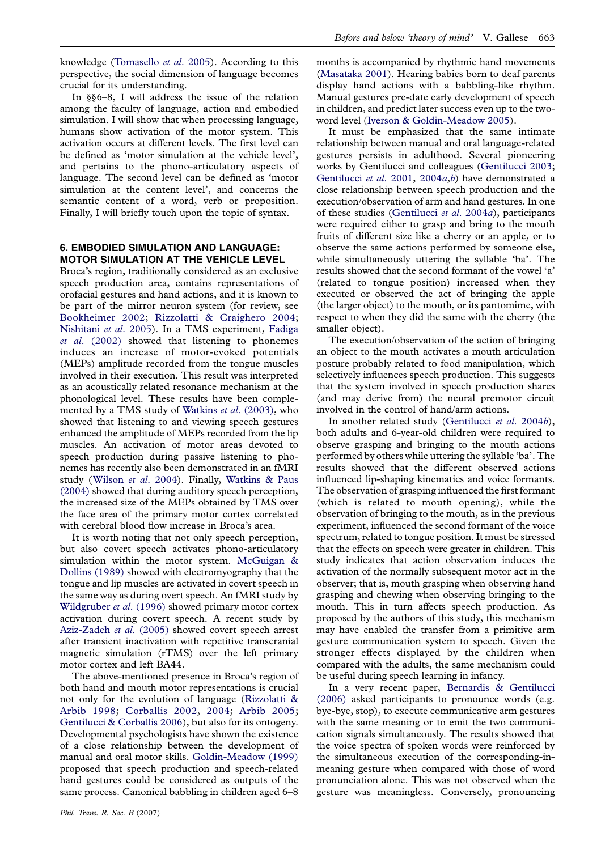knowledge [\(Tomasello](#page-10-0) et al. 2005). According to this perspective, the social dimension of language becomes crucial for its understanding.

In §§6–8, I will address the issue of the relation among the faculty of language, action and embodied simulation. I will show that when processing language, humans show activation of the motor system. This activation occurs at different levels. The first level can be defined as 'motor simulation at the vehicle level', and pertains to the phono-articulatory aspects of language. The second level can be defined as 'motor simulation at the content level', and concerns the semantic content of a word, verb or proposition. Finally, I will briefly touch upon the topic of syntax.

#### 6. EMBODIED SIMULATION AND LANGUAGE: MOTOR SIMULATION AT THE VEHICLE LEVEL

Broca's region, traditionally considered as an exclusive speech production area, contains representations of orofacial gestures and hand actions, and it is known to be part of the mirror neuron system (for review, see [Bookheimer 2002;](#page-8-0) [Rizzolatti & Craighero 2004](#page-10-0); [Nishitani](#page-10-0) et al. 2005). In a TMS experiment, [Fadiga](#page-9-0) et al[. \(2002\)](#page-9-0) showed that listening to phonemes induces an increase of motor-evoked potentials (MEPs) amplitude recorded from the tongue muscles involved in their execution. This result was interpreted as an acoustically related resonance mechanism at the phonological level. These results have been comple-mented by a TMS study of Watkins et al[. \(2003\)](#page-10-0), who showed that listening to and viewing speech gestures enhanced the amplitude of MEPs recorded from the lip muscles. An activation of motor areas devoted to speech production during passive listening to phonemes has recently also been demonstrated in an fMRI study ([Wilson](#page-10-0) et al. 2004). Finally, [Watkins & Paus](#page-10-0) [\(2004\)](#page-10-0) showed that during auditory speech perception, the increased size of the MEPs obtained by TMS over the face area of the primary motor cortex correlated with cerebral blood flow increase in Broca's area.

It is worth noting that not only speech perception, but also covert speech activates phono-articulatory simulation within the motor system. [McGuigan &](#page-10-0) [Dollins \(1989\)](#page-10-0) showed with electromyography that the tongue and lip muscles are activated in covert speech in the same way as during overt speech. An fMRI study by [Wildgruber](#page-10-0) et al. (1996) showed primary motor cortex activation during covert speech. A recent study by [Aziz-Zadeh](#page-8-0) et al. (2005) showed covert speech arrest after transient inactivation with repetitive transcranial magnetic simulation (rTMS) over the left primary motor cortex and left BA44.

The above-mentioned presence in Broca's region of both hand and mouth motor representations is crucial not only for the evolution of language [\(Rizzolatti &](#page-10-0) [Arbib 1998;](#page-10-0) [Corballis 2002](#page-9-0), [2004;](#page-9-0) [Arbib 2005](#page-8-0); [Gentilucci & Corballis 2006\)](#page-9-0), but also for its ontogeny. Developmental psychologists have shown the existence of a close relationship between the development of manual and oral motor skills. [Goldin-Meadow \(1999\)](#page-9-0) proposed that speech production and speech-related hand gestures could be considered as outputs of the same process. Canonical babbling in children aged 6–8

months is accompanied by rhythmic hand movements [\(Masataka 2001\)](#page-10-0). Hearing babies born to deaf parents display hand actions with a babbling-like rhythm. Manual gestures pre-date early development of speech in children, and predict later success even up to the twoword level ([Iverson & Goldin-Meadow 2005\)](#page-10-0).

It must be emphasized that the same intimate relationship between manual and oral language-related gestures persists in adulthood. Several pioneering works by Gentilucci and colleagues ([Gentilucci 2003;](#page-9-0) [Gentilucci](#page-9-0) et al. 2001, [2004](#page-9-0)a,[b](#page-9-0)) have demonstrated a close relationship between speech production and the execution/observation of arm and hand gestures. In one of these studies [\(Gentilucci](#page-9-0) et al. 2004a), participants were required either to grasp and bring to the mouth fruits of different size like a cherry or an apple, or to observe the same actions performed by someone else, while simultaneously uttering the syllable 'ba'. The results showed that the second formant of the vowel 'a' (related to tongue position) increased when they executed or observed the act of bringing the apple (the larger object) to the mouth, or its pantomime, with respect to when they did the same with the cherry (the smaller object).

The execution/observation of the action of bringing an object to the mouth activates a mouth articulation posture probably related to food manipulation, which selectively influences speech production. This suggests that the system involved in speech production shares (and may derive from) the neural premotor circuit involved in the control of hand/arm actions.

In another related study [\(Gentilucci](#page-9-0) et al. 2004b), both adults and 6-year-old children were required to observe grasping and bringing to the mouth actions performed by others while uttering the syllable 'ba'. The results showed that the different observed actions influenced lip-shaping kinematics and voice formants. The observation of grasping influenced the first formant (which is related to mouth opening), while the observation of bringing to the mouth, as in the previous experiment, influenced the second formant of the voice spectrum, related to tongue position. It must be stressed that the effects on speech were greater in children. This study indicates that action observation induces the activation of the normally subsequent motor act in the observer; that is, mouth grasping when observing hand grasping and chewing when observing bringing to the mouth. This in turn affects speech production. As proposed by the authors of this study, this mechanism may have enabled the transfer from a primitive arm gesture communication system to speech. Given the stronger effects displayed by the children when compared with the adults, the same mechanism could be useful during speech learning in infancy.

In a very recent paper, [Bernardis & Gentilucci](#page-8-0) [\(2006\)](#page-8-0) asked participants to pronounce words (e.g. bye-bye, stop), to execute communicative arm gestures with the same meaning or to emit the two communication signals simultaneously. The results showed that the voice spectra of spoken words were reinforced by the simultaneous execution of the corresponding-inmeaning gesture when compared with those of word pronunciation alone. This was not observed when the gesture was meaningless. Conversely, pronouncing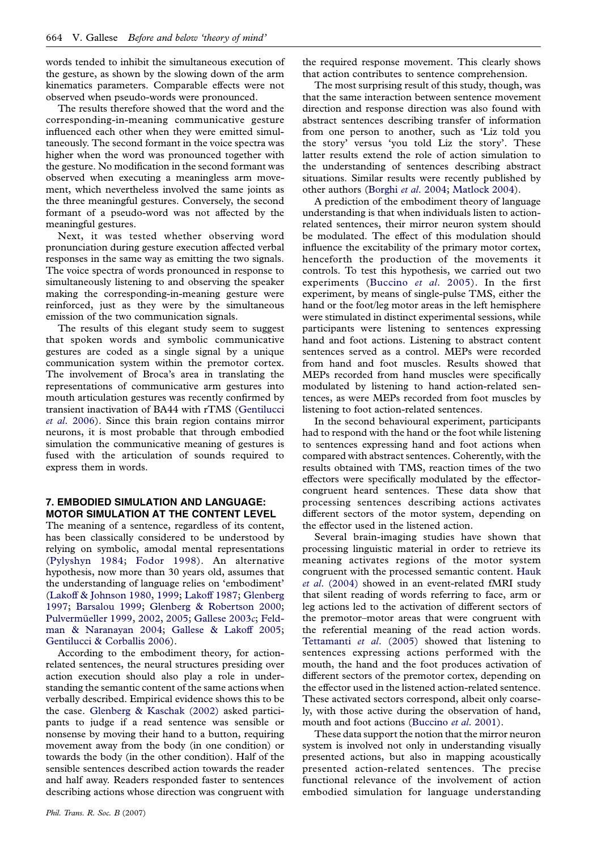words tended to inhibit the simultaneous execution of the gesture, as shown by the slowing down of the arm kinematics parameters. Comparable effects were not observed when pseudo-words were pronounced.

The results therefore showed that the word and the corresponding-in-meaning communicative gesture influenced each other when they were emitted simultaneously. The second formant in the voice spectra was higher when the word was pronounced together with the gesture. No modification in the second formant was observed when executing a meaningless arm movement, which nevertheless involved the same joints as the three meaningful gestures. Conversely, the second formant of a pseudo-word was not affected by the meaningful gestures.

Next, it was tested whether observing word pronunciation during gesture execution affected verbal responses in the same way as emitting the two signals. The voice spectra of words pronounced in response to simultaneously listening to and observing the speaker making the corresponding-in-meaning gesture were reinforced, just as they were by the simultaneous emission of the two communication signals.

The results of this elegant study seem to suggest that spoken words and symbolic communicative gestures are coded as a single signal by a unique communication system within the premotor cortex. The involvement of Broca's area in translating the representations of communicative arm gestures into mouth articulation gestures was recently confirmed by transient inactivation of BA44 with rTMS [\(Gentilucci](#page-9-0) et al[. 2006\)](#page-9-0). Since this brain region contains mirror neurons, it is most probable that through embodied simulation the communicative meaning of gestures is fused with the articulation of sounds required to express them in words.

# 7. EMBODIED SIMULATION AND LANGUAGE: MOTOR SIMULATION AT THE CONTENT LEVEL

The meaning of a sentence, regardless of its content, has been classically considered to be understood by relying on symbolic, amodal mental representations [\(Pylyshyn 1984;](#page-10-0) [Fodor 1998\)](#page-9-0). An alternative hypothesis, now more than 30 years old, assumes that the understanding of language relies on 'embodiment' [\(Lakoff & Johnson 1980,](#page-10-0) [1999](#page-10-0); [Lakoff 1987](#page-10-0); [Glenberg](#page-9-0) [1997](#page-9-0); [Barsalou 1999](#page-8-0); [Glenberg & Robertson 2000;](#page-9-0) Pulvermüeller 1999, [2002,](#page-10-0) [2005;](#page-10-0) [Gallese 2003](#page-9-0)c; [Feld](#page-9-0)[man & Naranayan 2004;](#page-9-0) [Gallese & Lakoff 2005;](#page-9-0) [Gentilucci & Corballis 2006](#page-9-0)).

According to the embodiment theory, for actionrelated sentences, the neural structures presiding over action execution should also play a role in understanding the semantic content of the same actions when verbally described. Empirical evidence shows this to be the case. [Glenberg & Kaschak \(2002\)](#page-9-0) asked participants to judge if a read sentence was sensible or nonsense by moving their hand to a button, requiring movement away from the body (in one condition) or towards the body (in the other condition). Half of the sensible sentences described action towards the reader and half away. Readers responded faster to sentences describing actions whose direction was congruent with

Phil. Trans. R. Soc. B (2007)

the required response movement. This clearly shows that action contributes to sentence comprehension.

The most surprising result of this study, though, was that the same interaction between sentence movement direction and response direction was also found with abstract sentences describing transfer of information from one person to another, such as 'Liz told you the story' versus 'you told Liz the story'. These latter results extend the role of action simulation to the understanding of sentences describing abstract situations. Similar results were recently published by other authors ([Borghi](#page-8-0) et al. 2004; [Matlock 2004](#page-10-0)).

A prediction of the embodiment theory of language understanding is that when individuals listen to actionrelated sentences, their mirror neuron system should be modulated. The effect of this modulation should influence the excitability of the primary motor cortex, henceforth the production of the movements it controls. To test this hypothesis, we carried out two experiments ([Buccino](#page-8-0) et al. 2005). In the first experiment, by means of single-pulse TMS, either the hand or the foot/leg motor areas in the left hemisphere were stimulated in distinct experimental sessions, while participants were listening to sentences expressing hand and foot actions. Listening to abstract content sentences served as a control. MEPs were recorded from hand and foot muscles. Results showed that MEPs recorded from hand muscles were specifically modulated by listening to hand action-related sentences, as were MEPs recorded from foot muscles by listening to foot action-related sentences.

In the second behavioural experiment, participants had to respond with the hand or the foot while listening to sentences expressing hand and foot actions when compared with abstract sentences. Coherently, with the results obtained with TMS, reaction times of the two effectors were specifically modulated by the effectorcongruent heard sentences. These data show that processing sentences describing actions activates different sectors of the motor system, depending on the effector used in the listened action.

Several brain-imaging studies have shown that processing linguistic material in order to retrieve its meaning activates regions of the motor system congruent with the processed semantic content. [Hauk](#page-9-0) et al[. \(2004\)](#page-9-0) showed in an event-related fMRI study that silent reading of words referring to face, arm or leg actions led to the activation of different sectors of the premotor–motor areas that were congruent with the referential meaning of the read action words. [Tettamanti](#page-10-0) et al. (2005) showed that listening to sentences expressing actions performed with the mouth, the hand and the foot produces activation of different sectors of the premotor cortex, depending on the effector used in the listened action-related sentence. These activated sectors correspond, albeit only coarsely, with those active during the observation of hand, mouth and foot actions ([Buccino](#page-8-0) et al. 2001).

These data support the notion that the mirror neuron system is involved not only in understanding visually presented actions, but also in mapping acoustically presented action-related sentences. The precise functional relevance of the involvement of action embodied simulation for language understanding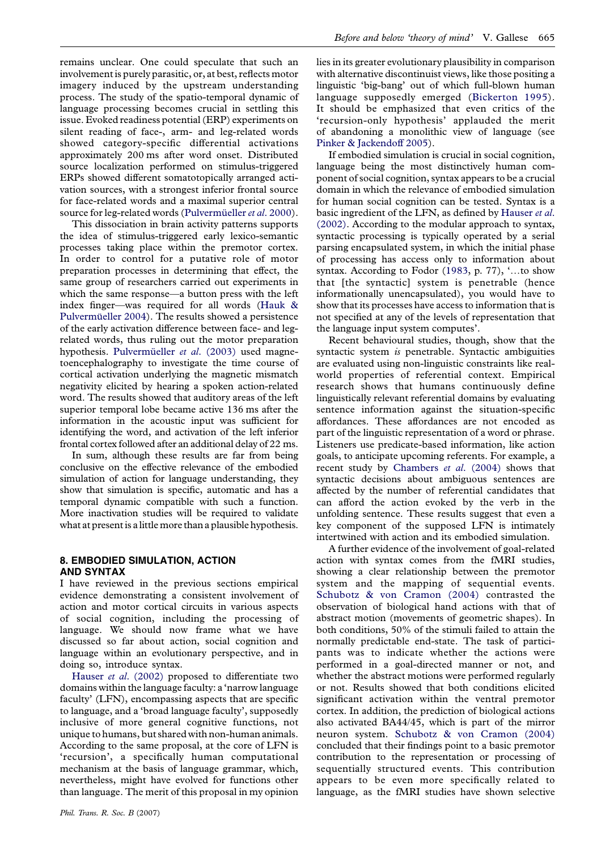remains unclear. One could speculate that such an involvement is purely parasitic, or, at best, reflects motor imagery induced by the upstream understanding process. The study of the spatio-temporal dynamic of language processing becomes crucial in settling this issue. Evoked readiness potential (ERP) experiments on silent reading of face-, arm- and leg-related words showed category-specific differential activations approximately 200 ms after word onset. Distributed source localization performed on stimulus-triggered ERPs showed different somatotopically arranged activation sources, with a strongest inferior frontal source for face-related words and a maximal superior central source for leg-related words (Pulvermüeller et al. 2000).

This dissociation in brain activity patterns supports the idea of stimulus-triggered early lexico-semantic processes taking place within the premotor cortex. In order to control for a putative role of motor preparation processes in determining that effect, the same group of researchers carried out experiments in which the same response—a button press with the left index finger—was required for all words ([Hauk &](#page-9-0) Pulvermüeller 2004). The results showed a persistence of the early activation difference between face- and legrelated words, thus ruling out the motor preparation hypothesis. Pulvermüeller et al.  $(2003)$  used magnetoencephalography to investigate the time course of cortical activation underlying the magnetic mismatch negativity elicited by hearing a spoken action-related word. The results showed that auditory areas of the left superior temporal lobe became active 136 ms after the information in the acoustic input was sufficient for identifying the word, and activation of the left inferior frontal cortex followed after an additional delay of 22 ms.

In sum, although these results are far from being conclusive on the effective relevance of the embodied simulation of action for language understanding, they show that simulation is specific, automatic and has a temporal dynamic compatible with such a function. More inactivation studies will be required to validate what at present is a little more than a plausible hypothesis.

#### 8. EMBODIED SIMULATION, ACTION AND SYNTAX

I have reviewed in the previous sections empirical evidence demonstrating a consistent involvement of action and motor cortical circuits in various aspects of social cognition, including the processing of language. We should now frame what we have discussed so far about action, social cognition and language within an evolutionary perspective, and in doing so, introduce syntax.

Hauser et al[. \(2002\)](#page-9-0) proposed to differentiate two domains within the language faculty: a 'narrow language faculty' (LFN), encompassing aspects that are specific to language, and a 'broad language faculty', supposedly inclusive of more general cognitive functions, not unique to humans, but shared with non-human animals. According to the same proposal, at the core of LFN is 'recursion', a specifically human computational mechanism at the basis of language grammar, which, nevertheless, might have evolved for functions other than language. The merit of this proposal in my opinion

lies in its greater evolutionary plausibility in comparison with alternative discontinuist views, like those positing a linguistic 'big-bang' out of which full-blown human language supposedly emerged ([Bickerton 1995](#page-8-0)). It should be emphasized that even critics of the 'recursion-only hypothesis' applauded the merit of abandoning a monolithic view of language (see [Pinker & Jackendoff 2005\)](#page-10-0).

If embodied simulation is crucial in social cognition, language being the most distinctively human component of social cognition, syntax appears to be a crucial domain in which the relevance of embodied simulation for human social cognition can be tested. Syntax is a basic ingredient of the LFN, as defined by [Hauser](#page-9-0) et al. [\(2002\)](#page-9-0). According to the modular approach to syntax, syntactic processing is typically operated by a serial parsing encapsulated system, in which the initial phase of processing has access only to information about syntax. According to Fodor [\(1983](#page-9-0), p. 77), '*.*to show that [the syntactic] system is penetrable (hence informationally unencapsulated), you would have to show that its processes have access to information that is not specified at any of the levels of representation that the language input system computes'.

Recent behavioural studies, though, show that the syntactic system *is* penetrable. Syntactic ambiguities are evaluated using non-linguistic constraints like realworld properties of referential context. Empirical research shows that humans continuously define linguistically relevant referential domains by evaluating sentence information against the situation-specific affordances. These affordances are not encoded as part of the linguistic representation of a word or phrase. Listeners use predicate-based information, like action goals, to anticipate upcoming referents. For example, a recent study by [Chambers](#page-8-0) et al. (2004) shows that syntactic decisions about ambiguous sentences are affected by the number of referential candidates that can afford the action evoked by the verb in the unfolding sentence. These results suggest that even a key component of the supposed LFN is intimately intertwined with action and its embodied simulation.

A further evidence of the involvement of goal-related action with syntax comes from the fMRI studies, showing a clear relationship between the premotor system and the mapping of sequential events. [Schubotz & von Cramon \(2004\)](#page-10-0) contrasted the observation of biological hand actions with that of abstract motion (movements of geometric shapes). In both conditions, 50% of the stimuli failed to attain the normally predictable end-state. The task of participants was to indicate whether the actions were performed in a goal-directed manner or not, and whether the abstract motions were performed regularly or not. Results showed that both conditions elicited significant activation within the ventral premotor cortex. In addition, the prediction of biological actions also activated BA44/45, which is part of the mirror neuron system. [Schubotz & von Cramon \(2004\)](#page-10-0) concluded that their findings point to a basic premotor contribution to the representation or processing of sequentially structured events. This contribution appears to be even more specifically related to language, as the fMRI studies have shown selective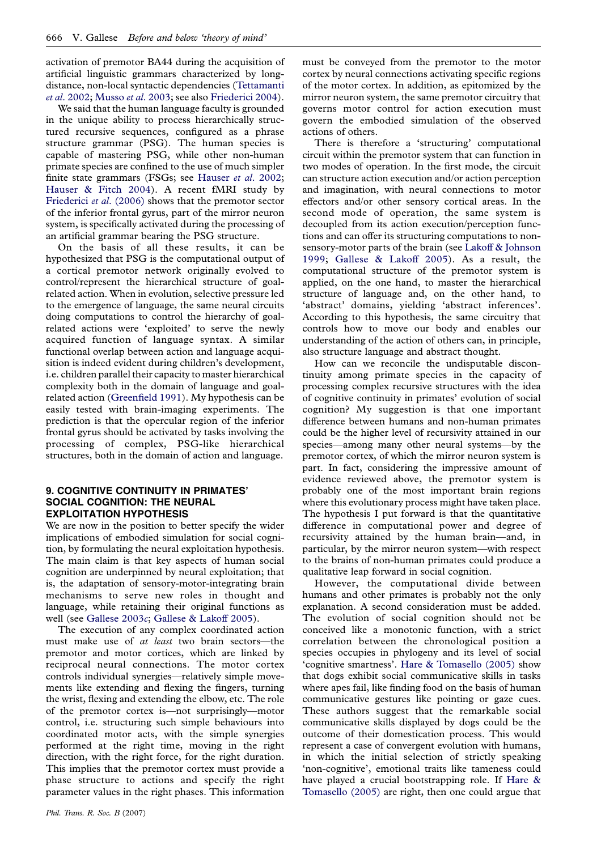activation of premotor BA44 during the acquisition of artificial linguistic grammars characterized by longdistance, non-local syntactic dependencies ([Tettamanti](#page-10-0) et al[. 2002;](#page-10-0) [Musso](#page-10-0) et al. 2003; see also [Friederici 2004\)](#page-9-0).

We said that the human language faculty is grounded in the unique ability to process hierarchically structured recursive sequences, configured as a phrase structure grammar (PSG). The human species is capable of mastering PSG, while other non-human primate species are confined to the use of much simpler finite state grammars (FSGs; see [Hauser](#page-9-0) et al. 2002; [Hauser & Fitch 2004](#page-9-0)). A recent fMRI study by [Friederici](#page-9-0) *et al.* (2006) shows that the premotor sector of the inferior frontal gyrus, part of the mirror neuron system, is specifically activated during the processing of an artificial grammar bearing the PSG structure.

On the basis of all these results, it can be hypothesized that PSG is the computational output of a cortical premotor network originally evolved to control/represent the hierarchical structure of goalrelated action. When in evolution, selective pressure led to the emergence of language, the same neural circuits doing computations to control the hierarchy of goalrelated actions were 'exploited' to serve the newly acquired function of language syntax. A similar functional overlap between action and language acquisition is indeed evident during children's development, i.e. children parallel their capacity to master hierarchical complexity both in the domain of language and goalrelated action ([Greenfield 1991](#page-9-0)). My hypothesis can be easily tested with brain-imaging experiments. The prediction is that the opercular region of the inferior frontal gyrus should be activated by tasks involving the processing of complex, PSG-like hierarchical structures, both in the domain of action and language.

#### 9. COGNITIVE CONTINUITY IN PRIMATES' SOCIAL COGNITION: THE NEURAL EXPLOITATION HYPOTHESIS

We are now in the position to better specify the wider implications of embodied simulation for social cognition, by formulating the neural exploitation hypothesis. The main claim is that key aspects of human social cognition are underpinned by neural exploitation; that is, the adaptation of sensory-motor-integrating brain mechanisms to serve new roles in thought and language, while retaining their original functions as well (see [Gallese 2003](#page-9-0)c; [Gallese & Lakoff 2005](#page-9-0)).

The execution of any complex coordinated action must make use of at least two brain sectors—the premotor and motor cortices, which are linked by reciprocal neural connections. The motor cortex controls individual synergies—relatively simple movements like extending and flexing the fingers, turning the wrist, flexing and extending the elbow, etc. The role of the premotor cortex is—not surprisingly—motor control, i.e. structuring such simple behaviours into coordinated motor acts, with the simple synergies performed at the right time, moving in the right direction, with the right force, for the right duration. This implies that the premotor cortex must provide a phase structure to actions and specify the right parameter values in the right phases. This information

must be conveyed from the premotor to the motor cortex by neural connections activating specific regions of the motor cortex. In addition, as epitomized by the mirror neuron system, the same premotor circuitry that governs motor control for action execution must govern the embodied simulation of the observed actions of others.

There is therefore a 'structuring' computational circuit within the premotor system that can function in two modes of operation. In the first mode, the circuit can structure action execution and/or action perception and imagination, with neural connections to motor effectors and/or other sensory cortical areas. In the second mode of operation, the same system is decoupled from its action execution/perception functions and can offer its structuring computations to nonsensory-motor parts of the brain (see [Lakoff & Johnson](#page-10-0) [1999](#page-10-0); [Gallese & Lakoff 2005\)](#page-9-0). As a result, the computational structure of the premotor system is applied, on the one hand, to master the hierarchical structure of language and, on the other hand, to 'abstract' domains, yielding 'abstract inferences'. According to this hypothesis, the same circuitry that controls how to move our body and enables our understanding of the action of others can, in principle, also structure language and abstract thought.

How can we reconcile the undisputable discontinuity among primate species in the capacity of processing complex recursive structures with the idea of cognitive continuity in primates' evolution of social cognition? My suggestion is that one important difference between humans and non-human primates could be the higher level of recursivity attained in our species—among many other neural systems—by the premotor cortex, of which the mirror neuron system is part. In fact, considering the impressive amount of evidence reviewed above, the premotor system is probably one of the most important brain regions where this evolutionary process might have taken place. The hypothesis I put forward is that the quantitative difference in computational power and degree of recursivity attained by the human brain—and, in particular, by the mirror neuron system—with respect to the brains of non-human primates could produce a qualitative leap forward in social cognition.

However, the computational divide between humans and other primates is probably not the only explanation. A second consideration must be added. The evolution of social cognition should not be conceived like a monotonic function, with a strict correlation between the chronological position a species occupies in phylogeny and its level of social 'cognitive smartness'. [Hare & Tomasello \(2005\)](#page-9-0) show that dogs exhibit social communicative skills in tasks where apes fail, like finding food on the basis of human communicative gestures like pointing or gaze cues. These authors suggest that the remarkable social communicative skills displayed by dogs could be the outcome of their domestication process. This would represent a case of convergent evolution with humans, in which the initial selection of strictly speaking 'non-cognitive', emotional traits like tameness could have played a crucial bootstrapping role. If [Hare &](#page-9-0) [Tomasello \(2005\)](#page-9-0) are right, then one could argue that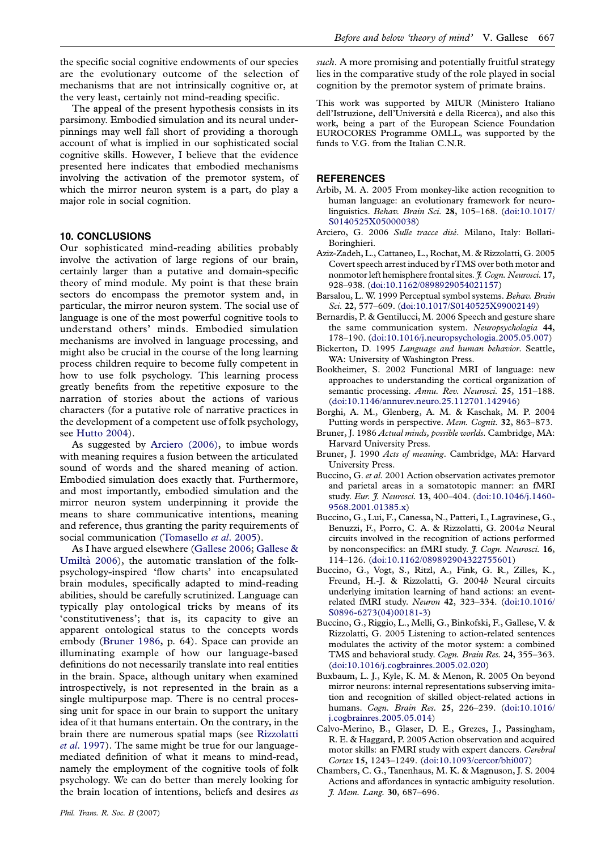<span id="page-8-0"></span>the specific social cognitive endowments of our species are the evolutionary outcome of the selection of mechanisms that are not intrinsically cognitive or, at the very least, certainly not mind-reading specific.

The appeal of the present hypothesis consists in its parsimony. Embodied simulation and its neural underpinnings may well fall short of providing a thorough account of what is implied in our sophisticated social cognitive skills. However, I believe that the evidence presented here indicates that embodied mechanisms involving the activation of the premotor system, of which the mirror neuron system is a part, do play a major role in social cognition.

#### 10. CONCLUSIONS

Our sophisticated mind-reading abilities probably involve the activation of large regions of our brain, certainly larger than a putative and domain-specific theory of mind module. My point is that these brain sectors do encompass the premotor system and, in particular, the mirror neuron system. The social use of language is one of the most powerful cognitive tools to understand others' minds. Embodied simulation mechanisms are involved in language processing, and might also be crucial in the course of the long learning process children require to become fully competent in how to use folk psychology. This learning process greatly benefits from the repetitive exposure to the narration of stories about the actions of various characters (for a putative role of narrative practices in the development of a competent use of folk psychology, see [Hutto 2004\)](#page-9-0).

As suggested by Arciero (2006), to imbue words with meaning requires a fusion between the articulated sound of words and the shared meaning of action. Embodied simulation does exactly that. Furthermore, and most importantly, embodied simulation and the mirror neuron system underpinning it provide the means to share communicative intentions, meaning and reference, thus granting the parity requirements of social communication [\(Tomasello](#page-10-0) et al. 2005).

As I have argued elsewhere ([Gallese 2006;](#page-9-0) [Gallese &](#page-9-0) Umiltà 2006), the automatic translation of the folkpsychology-inspired 'flow charts' into encapsulated brain modules, specifically adapted to mind-reading abilities, should be carefully scrutinized. Language can typically play ontological tricks by means of its 'constitutiveness'; that is, its capacity to give an apparent ontological status to the concepts words embody (Bruner 1986, p. 64). Space can provide an illuminating example of how our language-based definitions do not necessarily translate into real entities in the brain. Space, although unitary when examined introspectively, is not represented in the brain as a single multipurpose map. There is no central processing unit for space in our brain to support the unitary idea of it that humans entertain. On the contrary, in the brain there are numerous spatial maps (see [Rizzolatti](#page-10-0) et al[. 1997](#page-10-0)). The same might be true for our languagemediated definition of what it means to mind-read, namely the employment of the cognitive tools of folk psychology. We can do better than merely looking for the brain location of intentions, beliefs and desires as

such. A more promising and potentially fruitful strategy lies in the comparative study of the role played in social cognition by the premotor system of primate brains.

This work was supported by MIUR (Ministero Italiano dell'Istruzione, dell'Universita` e della Ricerca), and also this work, being a part of the European Science Foundation EUROCORES Programme OMLL, was supported by the funds to V.G. from the Italian C.N.R.

#### **REFERENCES**

- Arbib, M. A. 2005 From monkey-like action recognition to human language: an evolutionary framework for neurolinguistics. Behav. Brain Sci. 28, 105–168. ([doi:10.1017/](http://dx.doi.org/doi:10.1017/S0140525X05000038) [S0140525X05000038\)](http://dx.doi.org/doi:10.1017/S0140525X05000038)
- Arciero, G. 2006 Sulle tracce disé. Milano, Italy: Bollati-Boringhieri.
- Aziz-Zadeh, L., Cattaneo, L., Rochat, M. & Rizzolatti, G. 2005 Covert speech arrest induced by rTMS over both motor and nonmotor left hemisphere frontal sites. *J. Cogn. Neurosci*. 17, 928–938. [\(doi:10.1162/0898929054021157\)](http://dx.doi.org/doi:10.1162/0898929054021157)
- Barsalou, L. W. 1999 Perceptual symbol systems. Behav. Brain Sci. 22, 577–609. ([doi:10.1017/S0140525X99002149\)](http://dx.doi.org/doi:10.1017/S0140525X99002149)
- Bernardis, P. & Gentilucci, M. 2006 Speech and gesture share the same communication system. Neuropsychologia 44, 178–190. ([doi:10.1016/j.neuropsychologia.2005.05.007](http://dx.doi.org/doi:10.1016/j.neuropsychologia.2005.05.007))
- Bickerton, D. 1995 Language and human behavior. Seattle, WA: University of Washington Press.
- Bookheimer, S. 2002 Functional MRI of language: new approaches to understanding the cortical organization of semantic processing. Annu. Rev. Neurosci. 25, 151-188. ([doi:10.1146/annurev.neuro.25.112701.142946\)](http://dx.doi.org/doi:10.1146/annurev.neuro.25.112701.142946)
- Borghi, A. M., Glenberg, A. M. & Kaschak, M. P. 2004 Putting words in perspective. Mem. Cognit. 32, 863–873.
- Bruner, J. 1986 Actual minds, possible worlds. Cambridge, MA: Harvard University Press.
- Bruner, J. 1990 Acts of meaning. Cambridge, MA: Harvard University Press.
- Buccino, G. et al. 2001 Action observation activates premotor and parietal areas in a somatotopic manner: an fMRI study. Eur. J. Neurosci. 13, 400-404. ([doi:10.1046/j.1460-](http://dx.doi.org/doi:10.1046/j.1460-9568.2001.01385.x) [9568.2001.01385.x\)](http://dx.doi.org/doi:10.1046/j.1460-9568.2001.01385.x)
- Buccino, G., Lui, F., Canessa, N., Patteri, I., Lagravinese, G., Benuzzi, F., Porro, C. A. & Rizzolatti, G. 2004a Neural circuits involved in the recognition of actions performed by nonconspecifics: an fMRI study. *J. Cogn. Neurosci*. 16, 114–126. [\(doi:10.1162/089892904322755601](http://dx.doi.org/doi:10.1162/089892904322755601))
- Buccino, G., Vogt, S., Ritzl, A., Fink, G. R., Zilles, K., Freund, H.-J. & Rizzolatti, G. 2004b Neural circuits underlying imitation learning of hand actions: an eventrelated fMRI study. Neuron 42, 323–334. ([doi:10.1016/](http://dx.doi.org/doi:10.1016/S0896-6273(04)00181-3) [S0896-6273\(04\)00181-3](http://dx.doi.org/doi:10.1016/S0896-6273(04)00181-3))
- Buccino, G., Riggio, L., Melli, G., Binkofski, F., Gallese, V. & Rizzolatti, G. 2005 Listening to action-related sentences modulates the activity of the motor system: a combined TMS and behavioral study. Cogn. Brain Res. 24, 355–363. ([doi:10.1016/j.cogbrainres.2005.02.020\)](http://dx.doi.org/doi:10.1016/j.cogbrainres.2005.02.020)
- Buxbaum, L. J., Kyle, K. M. & Menon, R. 2005 On beyond mirror neurons: internal representations subserving imitation and recognition of skilled object-related actions in humans. Cogn. Brain Res. 25, 226–239. ([doi:10.1016/](http://dx.doi.org/doi:10.1016/j.cogbrainres.2005.05.014) [j.cogbrainres.2005.05.014](http://dx.doi.org/doi:10.1016/j.cogbrainres.2005.05.014))
- Calvo-Merino, B., Glaser, D. E., Grezes, J., Passingham, R. E. & Haggard, P. 2005 Action observation and acquired motor skills: an FMRI study with expert dancers. Cerebral Cortex 15, 1243–1249. ([doi:10.1093/cercor/bhi007\)](http://dx.doi.org/doi:10.1093/cercor/bhi007)
- Chambers, C. G., Tanenhaus, M. K. & Magnuson, J. S. 2004 Actions and affordances in syntactic ambiguity resolution. J. Mem. Lang. 30, 687–696.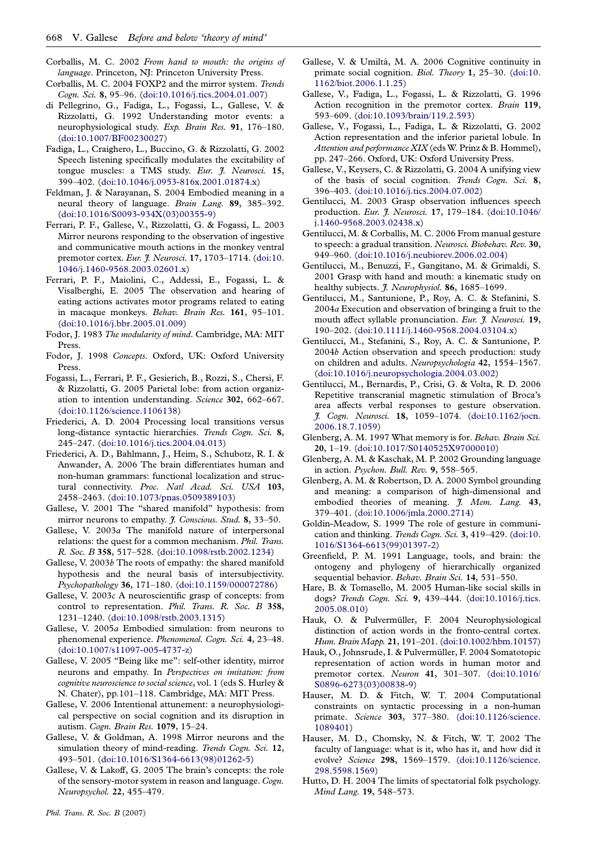- <span id="page-9-0"></span>Corballis, M. C. 2002 From hand to mouth: the origins of language. Princeton, NJ: Princeton University Press.
- Corballis, M. C. 2004 FOXP2 and the mirror system. Trends Cogn. Sci. 8, 95–96. ([doi:10.1016/j.tics.2004.01.007\)](http://dx.doi.org/doi:10.1016/j.tics.2004.01.007)
- di Pellegrino, G., Fadiga, L., Fogassi, L., Gallese, V. & Rizzolatti, G. 1992 Understanding motor events: a neurophysiological study. Exp. Brain Res. 91, 176–180. ([doi:10.1007/BF00230027](http://dx.doi.org/doi:10.1007/BF00230027))
- Fadiga, L., Craighero, L., Buccino, G. & Rizzolatti, G. 2002 Speech listening specifically modulates the excitability of tongue muscles: a TMS study. Eur. J. Neurosci. 15, 399–402. [\(doi:10.1046/j.0953-816x.2001.01874.x](http://dx.doi.org/doi:10.1046/j.0953-816x.2001.01874.x))
- Feldman, J. & Narayanan, S. 2004 Embodied meaning in a neural theory of language. Brain Lang. 89, 385–392. ([doi:10.1016/S0093-934X\(03\)00355-9\)](http://dx.doi.org/doi:10.1016/S0093-934X(03)00355-9)
- Ferrari, P. F., Gallese, V., Rizzolatti, G. & Fogassi, L. 2003 Mirror neurons responding to the observation of ingestive and communicative mouth actions in the monkey ventral premotor cortex. Eur. J. Neurosci. 17, 1703-1714. ([doi:10.](http://dx.doi.org/doi:10.1046/j.1460-9568.2003.02601.x) [1046/j.1460-9568.2003.02601.x](http://dx.doi.org/doi:10.1046/j.1460-9568.2003.02601.x))
- Ferrari, P. F., Maiolini, C., Addessi, E., Fogassi, L. & Visalberghi, E. 2005 The observation and hearing of eating actions activates motor programs related to eating in macaque monkeys. Behav. Brain Res. 161, 95–101. ([doi:10.1016/j.bbr.2005.01.009](http://dx.doi.org/doi:10.1016/j.bbr.2005.01.009))
- Fodor, J. 1983 The modularity of mind. Cambridge, MA: MIT Press.
- Fodor, J. 1998 Concepts. Oxford, UK: Oxford University Press.
- Fogassi, L., Ferrari, P. F., Gesierich, B., Rozzi, S., Chersi, F. & Rizzolatti, G. 2005 Parietal lobe: from action organization to intention understanding. Science 302, 662-667. ([doi:10.1126/science.1106138\)](http://dx.doi.org/doi:10.1126/science.1106138)
- Friederici, A. D. 2004 Processing local transitions versus long-distance syntactic hierarchies. Trends Cogn. Sci. 8, 245–247. [\(doi:10.1016/j.tics.2004.04.013](http://dx.doi.org/doi:10.1016/j.tics.2004.04.013))
- Friederici, A. D., Bahlmann, J., Heim, S., Schubotz, R. I. & Anwander, A. 2006 The brain differentiates human and non-human grammars: functional localization and structural connectivity. Proc. Natl Acad. Sci. USA 103, 2458–2463. [\(doi:10.1073/pnas.0509389103](http://dx.doi.org/doi:10.1073/pnas.0509389103))
- Gallese, V. 2001 The "shared manifold" hypothesis: from mirror neurons to empathy. J. Conscious. Stud. 8, 33-50.
- Gallese, V. 2003a The manifold nature of interpersonal relations: the quest for a common mechanism. Phil. Trans. R. Soc. B 358, 517–528. ([doi:10.1098/rstb.2002.1234](http://dx.doi.org/doi:10.1098/rstb.2002.1234))
- Gallese, V. 2003b The roots of empathy: the shared manifold hypothesis and the neural basis of intersubjectivity. Psychopathology 36, 171–180. [\(doi:10.1159/000072786\)](http://dx.doi.org/doi:10.1159/000072786)
- Gallese, V. 2003c A neuroscientific grasp of concepts: from control to representation. Phil. Trans. R. Soc. B 358, 1231–1240. [\(doi:10.1098/rstb.2003.1315\)](http://dx.doi.org/doi:10.1098/rstb.2003.1315)
- Gallese, V. 2005a Embodied simulation: from neurons to phenomenal experience. Phenomenol. Cogn. Sci. 4, 23-48. ([doi:10.1007/s11097-005-4737-z](http://dx.doi.org/doi:10.1007/s11097-005-4737-z))
- Gallese, V. 2005 "Being like me": self-other identity, mirror neurons and empathy. In Perspectives on imitation: from cognitive neuroscience to social science, vol. 1 (eds S. Hurley & N. Chater), pp.101–118. Cambridge, MA: MIT Press.
- Gallese, V. 2006 Intentional attunement: a neurophysiological perspective on social cognition and its disruption in autism. Cogn. Brain Res. 1079, 15–24.
- Gallese, V. & Goldman, A. 1998 Mirror neurons and the simulation theory of mind-reading. Trends Cogn. Sci. 12, 493–501. [\(doi:10.1016/S1364-6613\(98\)01262-5](http://dx.doi.org/doi:10.1016/S1364-6613(98)01262-5))
- Gallese, V. & Lakoff, G. 2005 The brain's concepts: the role of the sensory-motor system in reason and language. Cogn. Neuropsychol. 22, 455–479.
- Gallese, V. & Umiltà, M. A. 2006 Cognitive continuity in primate social cognition. Biol. Theory 1, 25–30. ([doi:10.](http://dx.doi.org/doi:10.1162/biot.2006.1.1.25) [1162/biot.2006.1.1.25](http://dx.doi.org/doi:10.1162/biot.2006.1.1.25))
- Gallese, V., Fadiga, L., Fogassi, L. & Rizzolatti, G. 1996 Action recognition in the premotor cortex. Brain 119, 593–609. [\(doi:10.1093/brain/119.2.593\)](http://dx.doi.org/doi:10.1093/brain/119.2.593)
- Gallese, V., Fogassi, L., Fadiga, L. & Rizzolatti, G. 2002 Action representation and the inferior parietal lobule. In Attention and performance XIX (eds W. Prinz & B. Hommel), pp. 247–266. Oxford, UK: Oxford University Press.
- Gallese, V., Keysers, C. & Rizzolatti, G. 2004 A unifying view of the basis of social cognition. Trends Cogn. Sci. 8, 396–403. [\(doi:10.1016/j.tics.2004.07.002\)](http://dx.doi.org/doi:10.1016/j.tics.2004.07.002)
- Gentilucci, M. 2003 Grasp observation influences speech production. Eur. J. Neurosci. 17, 179-184. ([doi:10.1046/](http://dx.doi.org/doi:10.1046/j.1460-9568.2003.02438.x) [j.1460-9568.2003.02438.x](http://dx.doi.org/doi:10.1046/j.1460-9568.2003.02438.x))
- Gentilucci, M. & Corballis, M. C. 2006 From manual gesture to speech: a gradual transition. Neurosci. Biobehav. Rev. 30, 949–960. [\(doi:10.1016/j.neubiorev.2006.02.004](http://dx.doi.org/doi:10.1016/j.neubiorev.2006.02.004))
- Gentilucci, M., Benuzzi, F., Gangitano, M. & Grimaldi, S. 2001 Grasp with hand and mouth: a kinematic study on healthy subjects. *J. Neurophysiol.* **86**, 1685-1699.
- Gentilucci, M., Santunione, P., Roy, A. C. & Stefanini, S. 2004a Execution and observation of bringing a fruit to the mouth affect syllable pronunciation. Eur. J. Neurosci. 19, 190–202. [\(doi:10.1111/j.1460-9568.2004.03104.x\)](http://dx.doi.org/doi:10.1111/j.1460-9568.2004.03104.x)
- Gentilucci, M., Stefanini, S., Roy, A. C. & Santunione, P. 2004b Action observation and speech production: study on children and adults. Neuropsychologia 42, 1554–1567. ([doi:10.1016/j.neuropsychologia.2004.03.002](http://dx.doi.org/doi:10.1016/j.neuropsychologia.2004.03.002))
- Gentilucci, M., Bernardis, P., Crisi, G. & Volta, R. D. 2006 Repetitive transcranial magnetic stimulation of Broca's area affects verbal responses to gesture observation. J. Cogn. Neurosci. 18, 1059–1074. [\(doi:10.1162/jocn.](http://dx.doi.org/doi:10.1162/jocn.2006.18.7.1059) [2006.18.7.1059\)](http://dx.doi.org/doi:10.1162/jocn.2006.18.7.1059)
- Glenberg, A. M. 1997 What memory is for. Behav. Brain Sci. 20, 1–19. [\(doi:10.1017/S0140525X97000010\)](http://dx.doi.org/doi:10.1017/S0140525X97000010)
- Glenberg, A. M. & Kaschak, M. P. 2002 Grounding language in action. Psychon. Bull. Rev. 9, 558-565.
- Glenberg, A. M. & Robertson, D. A. 2000 Symbol grounding and meaning: a comparison of high-dimensional and embodied theories of meaning. *J. Mem. Lang.* 43, 379–401. [\(doi:10.1006/jmla.2000.2714\)](http://dx.doi.org/doi:10.1006/jmla.2000.2714)
- Goldin-Meadow, S. 1999 The role of gesture in communication and thinking. Trends Cogn. Sci. 3, 419–429. ([doi:10.](http://dx.doi.org/doi:10.1016/S1364-6613(99)01397-2) [1016/S1364-6613\(99\)01397-2\)](http://dx.doi.org/doi:10.1016/S1364-6613(99)01397-2)
- Greenfield, P. M. 1991 Language, tools, and brain: the ontogeny and phylogeny of hierarchically organized sequential behavior. Behav. Brain Sci. 14, 531-550.
- Hare, B. & Tomasello, M. 2005 Human-like social skills in dogs? Trends Cogn. Sci. 9, 439–444. ([doi:10.1016/j.tics.](http://dx.doi.org/doi:10.1016/j.tics.2005.08.010) [2005.08.010](http://dx.doi.org/doi:10.1016/j.tics.2005.08.010))
- Hauk, O. & Pulvermüller, F. 2004 Neurophysiological distinction of action words in the fronto-central cortex. Hum. Brain Mapp. 21, 191–201. ([doi:10.1002/hbm.10157](http://dx.doi.org/doi:10.1002/hbm.10157))
- Hauk, O., Johnsrude, I. & Pulvermüller, F. 2004 Somatotopic representation of action words in human motor and premotor cortex. Neuron 41, 301–307. ([doi:10.1016/](http://dx.doi.org/doi:10.1016/S0896-6273(03)00838-9) [S0896-6273\(03\)00838-9](http://dx.doi.org/doi:10.1016/S0896-6273(03)00838-9))
- Hauser, M. D. & Fitch, W. T. 2004 Computational constraints on syntactic processing in a non-human primate. Science 303, 377–380. [\(doi:10.1126/science.](http://dx.doi.org/doi:10.1126/science.1089401) [1089401](http://dx.doi.org/doi:10.1126/science.1089401))
- Hauser, M. D., Chomsky, N. & Fitch, W. T. 2002 The faculty of language: what is it, who has it, and how did it evolve? Science 298, 1569–1579. [\(doi:10.1126/science.](http://dx.doi.org/doi:10.1126/science.298.5598.1569) [298.5598.1569](http://dx.doi.org/doi:10.1126/science.298.5598.1569))
- Hutto, D. H. 2004 The limits of spectatorial folk psychology. Mind Lang. 19, 548–573.